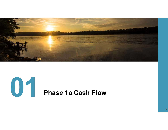

1

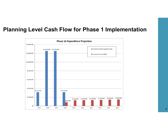#### **Planning Level Cash Flow for Phase 1 Implementation**

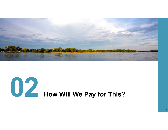

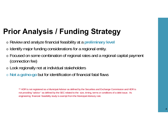## **Prior Analysis / Funding Strategy**

- o Review and analyze financial feasibility at a **preliminary level**
- $\circ$  Identify major funding considerations for a regional entity.
- $\circ$  Focused on some combination of regional rates and a regional capital payment (connection fee)
- $\circ$  Look regionally not at individual stakeholders
- o **Not a go/no-go** but for identification of financial fatal flaws

\*\* HDR is not registered as a Municipal Advisor as defined by the Securities and Exchange Commission and HDR is not providing "advice " as defined by the SEC related to the size, timing, terms or conditions of a debt issue. As engineering financial feasibility study is exempt from the Municipal Advisory rule.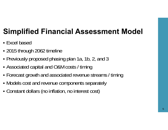## **Simplified Financial Assessment Model**

- Excel based
- ٠ 2015 through 2062 timeline
- Previously proposed phasing plan 1a, 1b, 2, and 3
- Associated capital and O&M costs / timing
- ٠ Forecast growth and associated revenue streams / timing
- Models cost and revenue components separately
- Constant dollars (no inflation, no interest cost)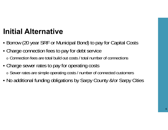## **Initial Alternative**

- Borrow (20 year SRF or Municipal Bond) to pay for Capital Costs
- ٠ Charge connection fees to pay for debt service o Connection fees are total build out costs / total number of connections
- ٠ Charge sewer rates to pay for operating costs o Sewer rates are simple operating costs / number of connected customers
- No additional funding obligations by Sarpy County &/or Sarpy Cities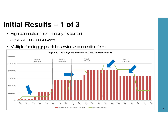## **Initial Results – 1 of 3**

- High connection fees nearly 4x current o \$6156/EDU - \$30,780/acre
- Multiple funding gaps: debt service > connection fees

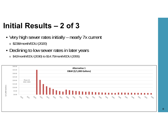### **Initial Results – 2 of 3**

- K Very high sewer rates initially – nearly 7x current o \$238/month/EDU (2020)
- **Declining to low sewer rates in later years** 
	- o \$42/month/EDU (2030) to \$14.75/month/EDU (2055)

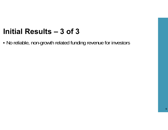#### **Initial Results – 3 of 3**

No reliable, non-growth related funding revenue for investors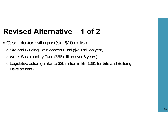## **Revised Alternative – 1 of 2**

- Cash infusion with grant(s) \$10 million
	- o Site and Building Development Fund (\$2.3 million year)
	- o Water Sustainability Fund (\$66 million over 6 years)
	- o Legislative action (similar to \$25 million in Bill 1091 for Site and Building Development)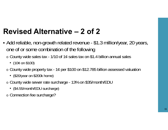## **Revised Alternative – 2 of 2**

- Add reliable, non-growth related revenue \$1.3 million/year, 20 years, one of or some combination of the following
	- o County wide sales tax 1/10 of 1¢ sales tax on \$1.4 billion annual sales
		- (10¢ on \$100)
	- o County wide property tax 1¢ per \$100 on \$12.785 billion assessed valuation
		- (\$20/year on \$200k home)
	- o County wide sewer rate surcharge 13% on \$35/month/EDU
		- (\$4.55/month/EDU surcharge)
	- o Connection fee surcharge?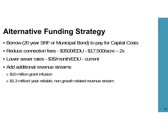## **Alternative Funding Strategy**

- Borrow (20 year SRF or Municipal Bond) to pay for Capital Costs
- Reduce connection fees \$3500/EDU \$17,500/acre 2x
- Lower sewer rates \$35/month/EDU current
- Add additional revenue streams
	- $\,\circ\,$  \$10 million grant infusion
	- o \$1.3 million/ year reliable, non growth related revenue stream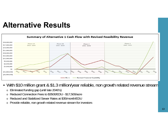#### **Alternative Results**



- With \$10 million grant & \$1.3 million/year reliable, non growth related revenue stream
	- o Eliminated funding gap (until late 2040's)
	- oReduced Connection Fees to \$3500/EDU - \$17,500/acre
	- o Reduced and Stabilized Sewer Rates at \$35/month/EDU
	- o Provide reliable, non growth related revenue stream for investors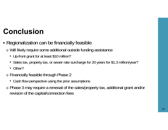## **Conclusion**

- Regionalization can be financially feasible
	- o Will likely require some additional outside funding assistance
		- Up-front grant for at least \$10 million?
		- Sales tax, property tax, or sewer rate surcharge for 20 years for \$1.3 million/year?
		- Other?
	- o Financially feasible through Phase 2
		- Cash flow perspective using the prior assumptions
	- o Phase 3 may require a renewal of the sales/property tax, additional grant and/or revision of the capital/connection fees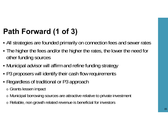# **Path Forward (1 of 3)**

- All strategies are founded primarily on connection fees and sewer rates
- ٠ The higher the fees and/or the higher the rates, the lower the need for other funding sources
- ٠ Municipal advisor will affirm and refine funding strategy
- ٠ P3 proposers will identify their cash flow requirements
- Regardless of traditional or P3 approach
	- o Grants lessen impact
	- o Municipal borrowing sources are attractive relative to private investment
	- o Reliable, non growth related revenue is beneficial for investors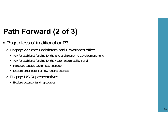## **Path Forward (2 of 3)**

- Regardless of traditional or P3
	- o Engage w/ State Legislators and Governor's office
		- Ask for additional funding for the Site and Economic Development Fund
		- Ask for additional funding for the Water Sustainability Fund
		- $\bullet$ Introduce a sales tax turnback concept
		- Explore other potential new funding sources
	- o Engage US Representatives
		- Explore potential funding sources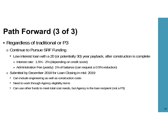## **Path Forward (3 of 3)**

- Regardless of traditional or P3
	- o Continue to Pursue SRF Funding
		- Low interest loan with a 20 (or potentially 30) year payback, after construction is complete
			- » Interest rate: 1.5% 2% (depending on credit score)
			- » Administration Fee (yearly): 1% of balance (can request a 0.5% reduction)
	- o Submittal by December 2018 for Loan Closing in mid- 2019
		- Can include engineering as well as construction costs
		- Need to work through Agency eligibility items
		- Can use other funds to meet total cost needs, but Agency is the loan recipient (not a P3)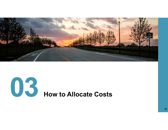

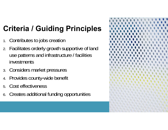# **Criteria / Guiding Principles**

- 1.Contributes to jobs creation
- 2. Facilitates orderly growth supportive of land use patterns and infrastructure / facilities investments
- 3. Considers market pressures
- 4.Provides county-wide benefit
- 5.Cost effectiveness
- 6.Creates additional funding opportunities

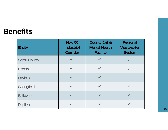#### **Benefits**

| <b>Entity</b>       | <b>Hwy 50</b><br><b>Industrial</b><br>Corridor | <b>County Jail &amp;</b><br><b>Mental Health</b><br><b>Facility</b> | Regional<br>Wastewater<br><b>System</b> |  |
|---------------------|------------------------------------------------|---------------------------------------------------------------------|-----------------------------------------|--|
| <b>Sarpy County</b> |                                                |                                                                     |                                         |  |
| Gretna              |                                                |                                                                     |                                         |  |
| LaVista             |                                                |                                                                     |                                         |  |
| Springfield         |                                                |                                                                     |                                         |  |
| <b>Bellevue</b>     |                                                |                                                                     |                                         |  |
| Papillion           |                                                |                                                                     |                                         |  |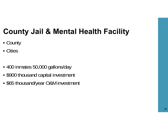## **County Jail & Mental Health Facility**

- County
- Cities
- 400 inmates 50,000 gallons/day
- ٠ \$900 thousand capital investment
- \$65 thousand/year O&M investment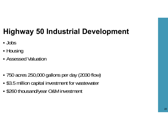## **Highway 50 Industrial Development**

- Jobs
- ٠ ■ Housing
- Assessed Valuation
- ٠ 750 acres 250,000 gallons per day (2030 flow)
- \$3.5 million capital investment for wastewater
- \$260 thousand/year O&M investment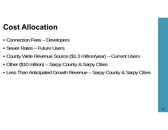## **Cost Allocation**

- Connection Fees – Developers
- Sewer Rates Future Users
- County Wide Revenue Source (\$1.3 million/year) – Current Users
- Other (\$10 million) – Sarpy County & Sarpy Cities
- Less Than Anticipated Growth Revenue – Sarpy County & Sarpy Cities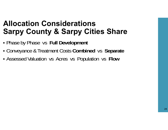#### **Allocation ConsiderationsSarpy County & Sarpy Cities Share**

- Phase by Phase vs **Full Development**
- ٠ Conveyance & Treatment Costs **Combined** vs **Separate**
- Assessed Valuation vs Acres vs Population vs **Flow**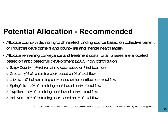## **Potential Allocation - Recommended**

- Allocate county wide, non growth related funding source based on collective benefit of industrial development and county jail and mental health facility
- Allocate remaining conveyance and treatment costs for all phases are allocated based on anticipated full development (2055) flow contribution
	- o Sarpy County x% of remaining cost\* based on % of total flow
	- o Gretna y% of remaining cost\* based on % of total flow
	- o LaVista 0% of remaining cost\* based on no contribution to total flow
	- $\circ$  Springfield z% of remaining cost\* based on % of total flow
	- $\circ$  Papillion a% of remaining cost\* based on % of total flow
	- o Bellevue b% of remaining cost\* based on % of total flow

\* Cost in excess of revenue generated through connection fees, sewer rates, grant funding, county wide funding source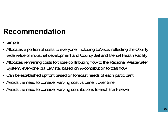## **Recommendation**

- Simple
- Allocates a portion of costs to everyone, including LaVista, reflecting the County wide value of industrial development and County Jail and Mental Health Facility
- Allocates remaining costs to those contributing flow to the Regional Wastewater System, everyone but LaVista, based on % contribution to total flow
- Can be established upfront based on forecast needs of each participant
- Avoids the need to consider varying cost vs benefit over time
- Avoids the need to consider varying contributions to each trunk sewer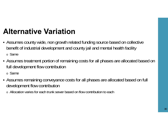## **Alternative Variation**

- Assumes county wide, non growth related funding source based on collective benefit of industrial development and county jail and mental health facility o Same
- Assumes treatment portion of remaining costs for all phases are allocated based on full development flow contribution

o Same

- Assumes remaining conveyance costs for all phases are allocated based on full development flow contribution
	- o Allocation varies for each trunk sewer based on flow contribution to each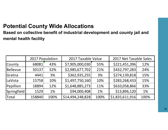#### **Potential County Wide Allocations**

**Based on collective benefit of industrial development and county jail and mental health facility**

|               | 2017 Population |      | 2017 Taxable Value |      | 2017 Net Taxable Sales |      |
|---------------|-----------------|------|--------------------|------|------------------------|------|
| County        | 68081           | 43%  | \$7,905,000,030    | 55%  | \$221,451,396          | 12%  |
| Bellevue      | 50137           | 32%  | \$2,985,677,702    | 21%  | \$432,797,283          | 24%  |
| <b>Gretna</b> | 4441            | 3%   | \$362,935,255      | 3%   | \$274,139,818          | 15%  |
| LaVista       | 15758           | 10%  | \$1,497,750,160    | 10%  | \$283,268,433          | 15%  |
| Papillion     | 18894           | 12%  | \$1,648,885,273    | 11%  | \$610,058,866          | 33%  |
| Springfield   | 1529            | 1%   | \$94,000,408       | 1%   | \$13,896,120           | 1%   |
| <b>Total</b>  | 158840          | 100% | \$14,494,248,828   | 100% | \$1,835,611,916        | 100% |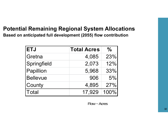#### **Potential Remaining Regional System Allocations**

**Based on anticipated full development (2055) flow contribution**

| <b>ETJ</b>      | <b>Total Acres</b> | $\frac{0}{0}$ |
|-----------------|--------------------|---------------|
| Gretna          | 4,085              | 23%           |
| Springfield     | 2,073              | 12%           |
| Papillion       | 5,968              | 33%           |
| <b>Bellevue</b> | 906                | 5%            |
| County          | 4,895              | 27%           |
| Total           | 17,929             | 100%          |

Flow ~ Acres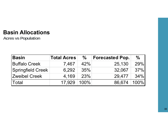#### **Basin Allocations**

**Acres vs Population**

| <b>Basin</b>             | <b>Total Acres</b> | $\%$    | <b>Forecasted Pop.</b> | $\%$    |
|--------------------------|--------------------|---------|------------------------|---------|
| <b>Buffalo Creek</b>     | 7,467              | 42%     | 25,130                 | 29%     |
| <b>Springfield Creek</b> | 6,292              | 35%     | 32,067                 | 37%     |
| <b>Zweibel Creek</b>     | 4.169              | 23%     | 29,477                 | $34\%$  |
| ∣Total                   | 17.929             | $100\%$ | 86,674                 | $100\%$ |